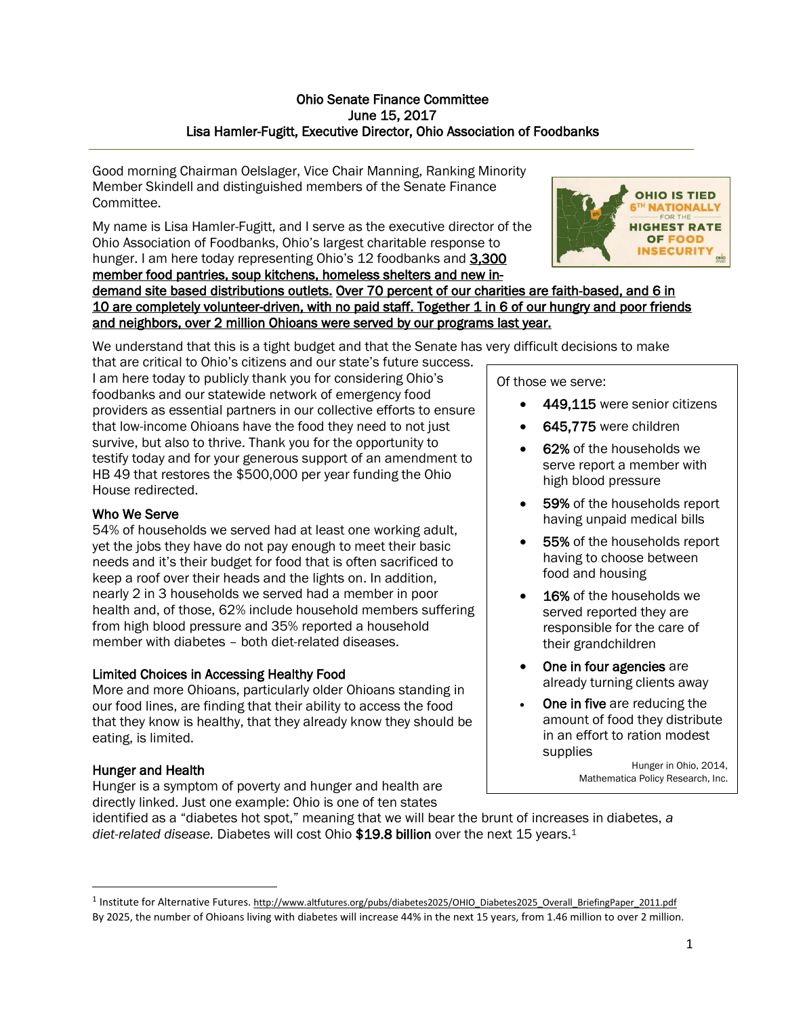### Ohio Senate Finance Committee June 15, 2017 Lisa Hamler-Fugitt, Executive Director, Ohio Association of Foodbanks

Good morning Chairman Oelslager, Vice Chair Manning, Ranking Minority Member Skindell and distinguished members of the Senate Finance Committee.

My name is Lisa Hamler-Fugitt, and I serve as the executive director of the Ohio Association of Foodbanks, Ohio's largest charitable response to hunger. I am here today representing Ohio's 12 foodbanks and 3,300 member food pantries, soup kitchens, homeless shelters and new in-



demand site based distributions outlets. Over 70 percent of our charities are faith-based, and 6 in 10 are completely volunteer-driven, with no paid staff. Together 1 in 6 of our hungry and poor friends and neighbors, over 2 million Ohioans were served by our programs last year.

We understand that this is a tight budget and that the Senate has very difficult decisions to make

that are critical to Ohio's citizens and our state's future success. I am here today to publicly thank you for considering Ohio's foodbanks and our statewide network of emergency food providers as essential partners in our collective efforts to ensure that low-income Ohioans have the food they need to not just survive, but also to thrive. Thank you for the opportunity to testify today and for your generous support of an amendment to HB 49 that restores the \$500,000 per year funding the Ohio House redirected.

## Who We Serve

54% of households we served had at least one working adult, yet the jobs they have do not pay enough to meet their basic needs and it's their budget for food that is often sacrificed to keep a roof over their heads and the lights on. In addition, nearly 2 in 3 households we served had a member in poor health and, of those, 62% include household members suffering from high blood pressure and 35% reported a household member with diabetes – both diet-related diseases.

### Limited Choices in Accessing Healthy Food

More and more Ohioans, particularly older Ohioans standing in our food lines, are finding that their ability to access the food that they know is healthy, that they already know they should be eating, is limited.

# Hunger and Health

 $\overline{\phantom{a}}$ 

Hunger is a symptom of poverty and hunger and health are directly linked. Just one example: Ohio is one of ten states

Of those we serve:

- 449,115 were senior citizens
- 645,775 were children
- 62% of the households we serve report a member with high blood pressure
- 59% of the households report having unpaid medical bills
- 55% of the households report having to choose between food and housing
- 16% of the households we served reported they are responsible for the care of their grandchildren
- One in four agencies are already turning clients away
- One in five are reducing the amount of food they distribute in an effort to ration modest supplies

Hunger in Ohio, 2014, Mathematica Policy Research, Inc.

identified as a "diabetes hot spot," meaning that we will bear the brunt of increases in diabetes, *a diet-related disease.* Diabetes will cost Ohio \$19.8 billion over the next 15 years.<sup>1</sup>

<sup>&</sup>lt;sup>1</sup> Institute for Alternative Futures. [http://www.altfutures.org/pubs/diabetes2025/OHIO\\_Diabetes2025\\_Overall\\_BriefingPaper\\_2011.pdf](http://www.altfutures.org/pubs/diabetes2025/OHIO_Diabetes2025_Overall_BriefingPaper_2011.pdf) By 2025, the number of Ohioans living with diabetes will increase 44% in the next 15 years, from 1.46 million to over 2 million.